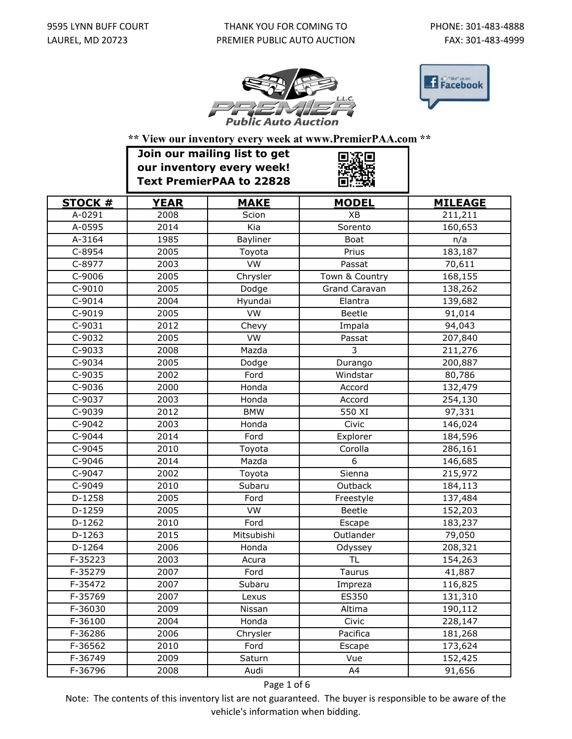## THANK YOU FOR COMING TO PREMIER PUBLIC AUTO AUCTION





**\*\* View our inventory every week at www.PremierPAA.com \*\***

|                | Join our mailing list to get<br>our inventory every week!<br><b>Text PremierPAA to 22828</b> |             |                      |                |
|----------------|----------------------------------------------------------------------------------------------|-------------|----------------------|----------------|
| <b>STOCK #</b> | <b>YEAR</b>                                                                                  | <b>MAKE</b> | <b>MODEL</b>         | <b>MILEAGE</b> |
| A-0291         | 2008                                                                                         | Scion       | XB                   | 211,211        |
| A-0595         | 2014                                                                                         | Kia         | Sorento              | 160,653        |
| A-3164         | 1985                                                                                         | Bayliner    | <b>Boat</b>          | n/a            |
| C-8954         | 2005                                                                                         | Toyota      | Prius                | 183,187        |
| C-8977         | 2003                                                                                         | VW          | Passat               | 70,611         |
| $C-9006$       | 2005                                                                                         | Chrysler    | Town & Country       | 168,155        |
| $C-9010$       | 2005                                                                                         | Dodge       | <b>Grand Caravan</b> | 138,262        |
| $C-9014$       | 2004                                                                                         | Hyundai     | Elantra              | 139,682        |
| C-9019         | 2005                                                                                         | VW          | <b>Beetle</b>        | 91,014         |
| C-9031         | 2012                                                                                         | Chevy       | Impala               | 94,043         |
| C-9032         | 2005                                                                                         | <b>VW</b>   | Passat               | 207,840        |
| C-9033         | 2008                                                                                         | Mazda       | $\overline{3}$       | 211,276        |
| C-9034         | 2005                                                                                         | Dodge       | Durango              | 200,887        |
| C-9035         | 2002                                                                                         | Ford        | Windstar             | 80,786         |
| $C-9036$       | 2000                                                                                         | Honda       | Accord               | 132,479        |
| C-9037         | 2003                                                                                         | Honda       | Accord               | 254,130        |
| C-9039         | 2012                                                                                         | <b>BMW</b>  | 550 XI               | 97,331         |
| C-9042         | 2003                                                                                         | Honda       | Civic                | 146,024        |
| C-9044         | 2014                                                                                         | Ford        | Explorer             | 184,596        |
| C-9045         | 2010                                                                                         | Toyota      | Corolla              | 286,161        |
| C-9046         | 2014                                                                                         | Mazda       | 6                    | 146,685        |
| C-9047         | 2002                                                                                         | Toyota      | Sienna               | 215,972        |
| C-9049         | 2010                                                                                         | Subaru      | Outback              | 184,113        |
| D-1258         | 2005                                                                                         | Ford        | Freestyle            | 137,484        |
| D-1259         | 2005                                                                                         | VW          | Beetle               | 152,203        |
| $D-1262$       | 2010                                                                                         | Ford        | Escape               | 183,237        |
| $D-1263$       | 2015                                                                                         | Mitsubishi  | Outlander            | 79,050         |
| $D-1264$       | 2006                                                                                         | Honda       | Odyssey              | 208,321        |
| F-35223        | 2003                                                                                         | Acura       | <b>TL</b>            | 154,263        |
| F-35279        | 2007                                                                                         | Ford        | Taurus               | 41,887         |
| F-35472        | 2007                                                                                         | Subaru      | Impreza              | 116,825        |
| F-35769        | 2007                                                                                         | Lexus       | ES350                | 131,310        |
| F-36030        | 2009                                                                                         | Nissan      | Altima               | 190,112        |
| F-36100        | 2004                                                                                         | Honda       | Civic                | 228,147        |
| F-36286        | 2006                                                                                         | Chrysler    | Pacifica             | 181,268        |
| F-36562        | 2010                                                                                         | Ford        | Escape               | 173,624        |
| F-36749        | 2009                                                                                         | Saturn      | Vue                  | 152,425        |
| F-36796        | 2008                                                                                         | Audi        | A4                   | 91,656         |

Page 1 of 6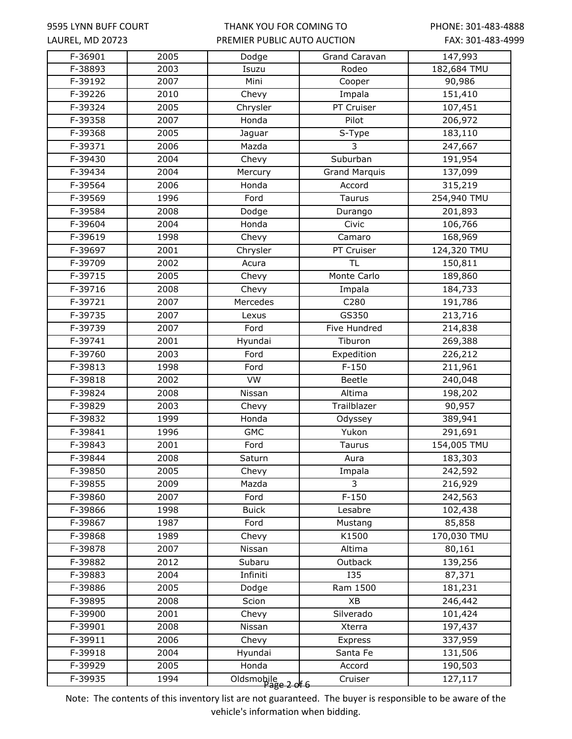### THANK YOU FOR COMING TO PREMIER PUBLIC AUTO AUCTION

PHONE: 301-483-4888 FAX: 301-483-4999

| F-36901   | $\frac{1}{2005}$  | Dodge                     | Grand Caravan        | 147,993     |
|-----------|-------------------|---------------------------|----------------------|-------------|
| F-38893   | 2003              | Isuzu                     | Rodeo                | 182,684 TMU |
| F-39192   | 2007              | Mini                      | Cooper               | 90,986      |
| F-39226   | 2010              | Chevy                     | Impala               | 151,410     |
| F-39324   | 2005              | Chrysler                  | PT Cruiser           | 107,451     |
| F-39358   | 2007              | Honda                     | Pilot                | 206,972     |
| F-39368   | 2005              | Jaguar                    | S-Type               | 183,110     |
| F-39371   | 2006              | Mazda                     | 3                    | 247,667     |
| F-39430   | 2004              | Chevy                     | Suburban             | 191,954     |
| F-39434   | 2004              | Mercury                   | <b>Grand Marquis</b> | 137,099     |
| F-39564   | 2006              | Honda                     | Accord               | 315,219     |
| F-39569   | 1996              | Ford                      | <b>Taurus</b>        | 254,940 TMU |
| F-39584   | 2008              | Dodge                     | Durango              | 201,893     |
| F-39604   | $\overline{2004}$ | Honda                     | Civic                | 106,766     |
| F-39619   | 1998              | Chevy                     | Camaro               | 168,969     |
| F-39697   | 2001              | Chrysler                  | PT Cruiser           | 124,320 TMU |
| F-39709   | 2002              | Acura                     | $\overline{\sf TL}$  | 150,811     |
| F-39715   | 2005              | Chevy                     | Monte Carlo          | 189,860     |
| F-39716   | 2008              | Chevy                     | Impala               | 184,733     |
| $F-39721$ | 2007              | Mercedes                  | C280                 | 191,786     |
| F-39735   | 2007              | Lexus                     | GS350                | 213,716     |
| F-39739   | 2007              | Ford                      | Five Hundred         | 214,838     |
| F-39741   | 2001              | Hyundai                   | Tiburon              | 269,388     |
| F-39760   | 2003              | Ford                      | Expedition           | 226,212     |
| F-39813   | 1998              | Ford                      | $F-150$              | 211,961     |
| F-39818   | 2002              | VW                        | Beetle               | 240,048     |
| F-39824   | 2008              | Nissan                    | Altima               | 198,202     |
| F-39829   | 2003              | Chevy                     | Trailblazer          | 90,957      |
| F-39832   | 1999              | Honda                     | Odyssey              | 389,941     |
| F-39841   | 1996              | <b>GMC</b>                | Yukon                | 291,691     |
| F-39843   | 2001              | Ford                      | <b>Taurus</b>        | 154,005 TMU |
| F-39844   | 2008              | Saturn                    | Aura                 | 183,303     |
| F-39850   | 2005              | Chevy                     | Impala               | 242,592     |
| F-39855   | 2009              | Mazda                     | 3                    | 216,929     |
| F-39860   | 2007              | Ford                      | $F-150$              | 242,563     |
| F-39866   | 1998              | <b>Buick</b>              | Lesabre              | 102,438     |
| F-39867   | 1987              | Ford                      | Mustang              | 85,858      |
| F-39868   | 1989              | Chevy                     | K1500                | 170,030 TMU |
| F-39878   | 2007              | Nissan                    | Altima               | 80,161      |
| F-39882   | 2012              | Subaru                    | Outback              | 139,256     |
| F-39883   | 2004              | Infiniti                  | <b>I35</b>           | 87,371      |
| F-39886   | 2005              | Dodge                     | Ram 1500             | 181,231     |
| F-39895   | 2008              | Scion                     | XB                   | 246,442     |
| F-39900   | 2001              | Chevy                     | Silverado            | 101,424     |
| F-39901   | 2008              | Nissan                    | Xterra               | 197,437     |
| F-39911   | 2006              | Chevy                     | Express              | 337,959     |
| F-39918   | 2004              | Hyundai                   | Santa Fe             | 131,506     |
| F-39929   | 2005              | Honda                     | Accord               | 190,503     |
| F-39935   | 1994              | Oldsmobile<br>Page 2 of 6 | Cruiser              | 127,117     |
|           |                   |                           |                      |             |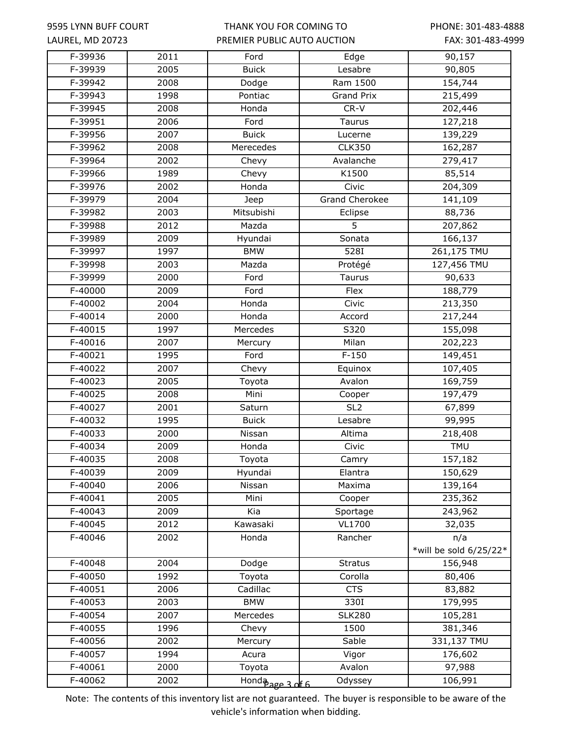### THANK YOU FOR COMING TO PREMIER PUBLIC AUTO AUCTION

PHONE: 301-483-4888 FAX: 301-483-4999

| F-39936   | 2011             | Ford             | Edge                  | 90,157                 |
|-----------|------------------|------------------|-----------------------|------------------------|
| F-39939   | 2005             | <b>Buick</b>     | Lesabre               | 90,805                 |
| F-39942   | 2008             | Dodge            | Ram 1500              | 154,744                |
| F-39943   | 1998             | Pontiac          | <b>Grand Prix</b>     | 215,499                |
| F-39945   | 2008             | Honda            | CR-V                  | 202,446                |
| F-39951   | 2006             | Ford             | <b>Taurus</b>         | 127,218                |
| F-39956   | 2007             | <b>Buick</b>     | Lucerne               | 139,229                |
| F-39962   | 2008             | Merecedes        | <b>CLK350</b>         | 162,287                |
| F-39964   | 2002             | Chevy            | Avalanche             | 279,417                |
| F-39966   | 1989             | Chevy            | K1500                 | 85,514                 |
| F-39976   | $\frac{1}{2002}$ | Honda            | Civic                 | 204,309                |
| F-39979   | 2004             | Jeep             | <b>Grand Cherokee</b> | 141,109                |
| F-39982   | 2003             | Mitsubishi       | Eclipse               | 88,736                 |
| F-39988   | 2012             | Mazda            | 5                     | 207,862                |
| F-39989   | 2009             | Hyundai          | Sonata                | 166,137                |
| F-39997   | 1997             | <b>BMW</b>       | 528I                  | 261,175 TMU            |
| F-39998   | 2003             | Mazda            | Protégé               | 127,456 TMU            |
| F-39999   | 2000             | Ford             | Taurus                | 90,633                 |
| F-40000   | 2009             | Ford             | Flex                  | 188,779                |
| F-40002   | 2004             | Honda            | Civic                 | 213,350                |
| F-40014   | 2000             | Honda            | Accord                | 217,244                |
| F-40015   | 1997             | Mercedes         | S320                  | 155,098                |
| F-40016   | 2007             | Mercury          | Milan                 | 202,223                |
| F-40021   | 1995             | Ford             | $F-150$               | 149,451                |
| F-40022   | 2007             | Chevy            | Equinox               | 107,405                |
| F-40023   | 2005             | Toyota           | Avalon                | 169,759                |
| F-40025   | 2008             | Mini             | Cooper                | 197,479                |
| F-40027   | 2001             | Saturn           | $\overline{SL2}$      | 67,899                 |
| F-40032   | 1995             | <b>Buick</b>     | Lesabre               | 99,995                 |
| F-40033   | 2000             | Nissan           | Altima                | 218,408                |
| F-40034   | 2009             | Honda            | Civic                 | <b>TMU</b>             |
| $F-40035$ | 2008             | Toyota           | Camry                 | 157,182                |
| F-40039   | 2009             | Hyundai          | Elantra               | 150,629                |
| F-40040   | 2006             | Nissan           | Maxima                | 139,164                |
| F-40041   | 2005             | Mini             | Cooper                | 235,362                |
| F-40043   | 2009             | Kia              | Sportage              | 243,962                |
| F-40045   | 2012             | Kawasaki         | <b>VL1700</b>         | 32,035                 |
| F-40046   | 2002             | Honda            | Rancher               | n/a                    |
|           |                  |                  |                       | *will be sold 6/25/22* |
| F-40048   | 2004             | Dodge            | <b>Stratus</b>        | 156,948                |
| F-40050   | 1992             | Toyota           | Corolla               | 80,406                 |
| F-40051   | 2006             | Cadillac         | <b>CTS</b>            | 83,882                 |
| F-40053   | 2003             | <b>BMW</b>       | 330I                  | 179,995                |
| F-40054   | 2007             | Mercedes         | <b>SLK280</b>         | 105,281                |
| F-40055   | 1996             | Chevy            | 1500                  | 381,346                |
| F-40056   | 2002             | Mercury          | Sable                 | 331,137 TMU            |
| F-40057   | 1994             | Acura            | Vigor                 | 176,602                |
| F-40061   | 2000             | Toyota           | Avalon                | 97,988                 |
| F-40062   | 2002             | Honda age 3 of 6 | Odyssey               | 106,991                |
|           |                  |                  |                       |                        |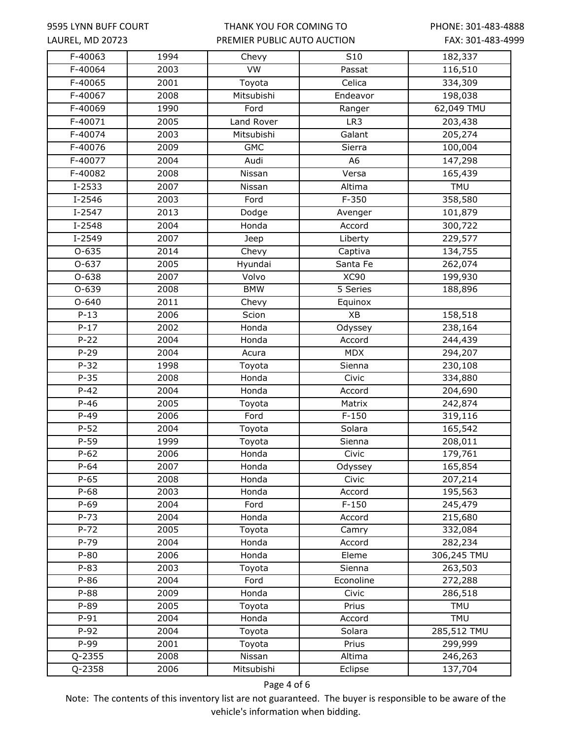### THANK YOU FOR COMING TO PREMIER PUBLIC AUTO AUCTION

PHONE: 301-483-4888 FAX: 301-483-4999

| $F-40063$ | 1994 | Chevy                | $\overline{S10}$ | 182,337     |
|-----------|------|----------------------|------------------|-------------|
| F-40064   | 2003 | <b>VW</b>            | Passat           | 116,510     |
| F-40065   | 2001 | $\overline{T}$ oyota | Celica           | 334,309     |
| F-40067   | 2008 | Mitsubishi           | Endeavor         | 198,038     |
| F-40069   | 1990 | Ford                 | Ranger           | 62,049 TMU  |
| F-40071   | 2005 | Land Rover           | LR3              | 203,438     |
| F-40074   | 2003 | Mitsubishi           | Galant           | 205,274     |
| F-40076   | 2009 | <b>GMC</b>           | Sierra           | 100,004     |
| F-40077   | 2004 | Audi                 | A <sub>6</sub>   | 147,298     |
| F-40082   | 2008 | Nissan               | Versa            | 165,439     |
| $I-2533$  | 2007 | Nissan               | Altima           | <b>TMU</b>  |
| $I-2546$  | 2003 | Ford                 | $F-350$          | 358,580     |
| $I-2547$  | 2013 | Dodge                | Avenger          | 101,879     |
| $I-2548$  | 2004 | Honda                | Accord           | 300,722     |
| $I-2549$  | 2007 | Jeep                 | Liberty          | 229,577     |
| $0 - 635$ | 2014 | Chevy                | Captiva          | 134,755     |
| $O-637$   | 2005 | Hyundai              | Santa Fe         | 262,074     |
| 0-638     | 2007 | Volvo                | <b>XC90</b>      | 199,930     |
| $0 - 639$ | 2008 | <b>BMW</b>           | 5 Series         | 188,896     |
| $O - 640$ | 2011 | Chevy                | Equinox          |             |
| $P-13$    | 2006 | Scion                | XB               | 158,518     |
| $P-17$    | 2002 | Honda                | Odyssey          | 238,164     |
| $P-22$    | 2004 | Honda                | Accord           | 244,439     |
| $P-29$    | 2004 | Acura                | <b>MDX</b>       | 294,207     |
| $P - 32$  | 1998 | Toyota               | Sienna           | 230,108     |
| $P-35$    | 2008 | Honda                | Civic            | 334,880     |
| $P-42$    | 2004 | Honda                | Accord           | 204,690     |
| $P-46$    | 2005 | Toyota               | Matrix           | 242,874     |
| $P-49$    | 2006 | Ford                 | $F-150$          | 319,116     |
| $P-52$    | 2004 | Toyota               | Solara           | 165,542     |
| $P-59$    | 1999 | Toyota               | Sienna           | 208,011     |
| $P-62$    | 2006 | Honda                | Civic            | 179,761     |
| P-64      | 2007 | Honda                | Odyssey          | 165,854     |
| $P-65$    | 2008 | Honda                | Civic            | 207,214     |
| $P-68$    | 2003 | Honda                | Accord           | 195,563     |
| $P-69$    | 2004 | Ford                 | $F-150$          | 245,479     |
| $P - 73$  | 2004 | Honda                | Accord           | 215,680     |
| $P - 72$  | 2005 | Toyota               | Camry            | 332,084     |
| $P-79$    | 2004 | Honda                | Accord           | 282,234     |
| $P-80$    | 2006 | Honda                | Eleme            | 306,245 TMU |
| $P - 83$  | 2003 | Toyota               | Sienna           | 263,503     |
| $P-86$    | 2004 | Ford                 | Econoline        | 272,288     |
| $P-88$    | 2009 | Honda                | Civic            | 286,518     |
| $P-89$    | 2005 | Toyota               | Prius            | <b>TMU</b>  |
| $P-91$    | 2004 | Honda                | Accord           | TMU         |
| $P-92$    | 2004 | Toyota               | Solara           | 285,512 TMU |
| P-99      | 2001 | Toyota               | Prius            | 299,999     |
| Q-2355    | 2008 | Nissan               | Altima           | 246,263     |
| Q-2358    | 2006 | Mitsubishi           | Eclipse          | 137,704     |

Page 4 of 6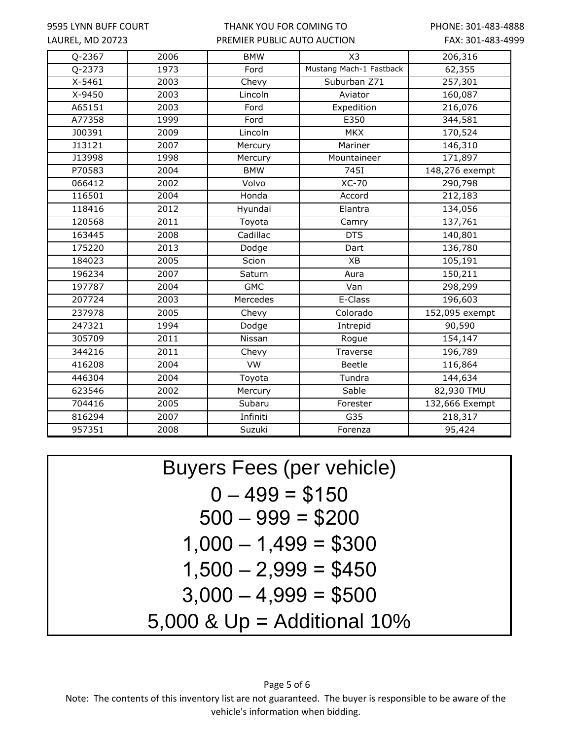#### THANK YOU FOR COMING TO PREMIER PUBLIC AUTO AUCTION

PHONE: 301-483-4888 FAX: 301-483-4999

| Q-2367     | 2006 | <b>BMW</b> | X3                      | 206,316        |
|------------|------|------------|-------------------------|----------------|
| $Q - 2373$ | 1973 | Ford       | Mustang Mach-1 Fastback | 62,355         |
| $X - 5461$ | 2003 | Chevy      | Suburban Z71            | 257,301        |
| X-9450     | 2003 | Lincoln    | Aviator                 | 160,087        |
| A65151     | 2003 | Ford       | Expedition              | 216,076        |
| A77358     | 1999 | Ford       | E350                    | 344,581        |
| J00391     | 2009 | Lincoln    | <b>MKX</b>              | 170,524        |
| J13121     | 2007 | Mercury    | Mariner                 | 146,310        |
| J13998     | 1998 | Mercury    | Mountaineer             | 171,897        |
| P70583     | 2004 | <b>BMW</b> | 745I                    | 148,276 exempt |
| 066412     | 2002 | Volvo      | <b>XC-70</b>            | 290,798        |
| 116501     | 2004 | Honda      | Accord                  | 212,183        |
| 118416     | 2012 | Hyundai    | Elantra                 | 134,056        |
| 120568     | 2011 | Toyota     | Camry                   | 137,761        |
| 163445     | 2008 | Cadillac   | $\overline{DTS}$        | 140,801        |
| 175220     | 2013 | Dodge      | Dart                    | 136,780        |
| 184023     | 2005 | Scion      | XB                      | 105,191        |
| 196234     | 2007 | Saturn     | Aura                    | 150,211        |
| 197787     | 2004 | <b>GMC</b> | Van                     | 298,299        |
| 207724     | 2003 | Mercedes   | E-Class                 | 196,603        |
| 237978     | 2005 | Chevy      | Colorado                | 152,095 exempt |
| 247321     | 1994 | Dodge      | Intrepid                | 90,590         |
| 305709     | 2011 | Nissan     | Rogue                   | 154,147        |
| 344216     | 2011 | Chevy      | Traverse                | 196,789        |
| 416208     | 2004 | <b>VW</b>  | <b>Beetle</b>           | 116,864        |
| 446304     | 2004 | Toyota     | Tundra                  | 144,634        |
| 623546     | 2002 | Mercury    | Sable                   | 82,930 TMU     |
| 704416     | 2005 | Subaru     | Forester                | 132,666 Exempt |
| 816294     | 2007 | Infiniti   | G35                     | 218,317        |
| 957351     | 2008 | Suzuki     | Forenza                 | 95,424         |

Buyers Fees (per vehicle)  $500 - 999 = $200$  $1,000 - 1,499 = $300$  $1,500 - 2,999 = $450$ 5,000 & Up = Additional 10%  $3,000 - 4,999 = $500$  $0 - 499 = $150$